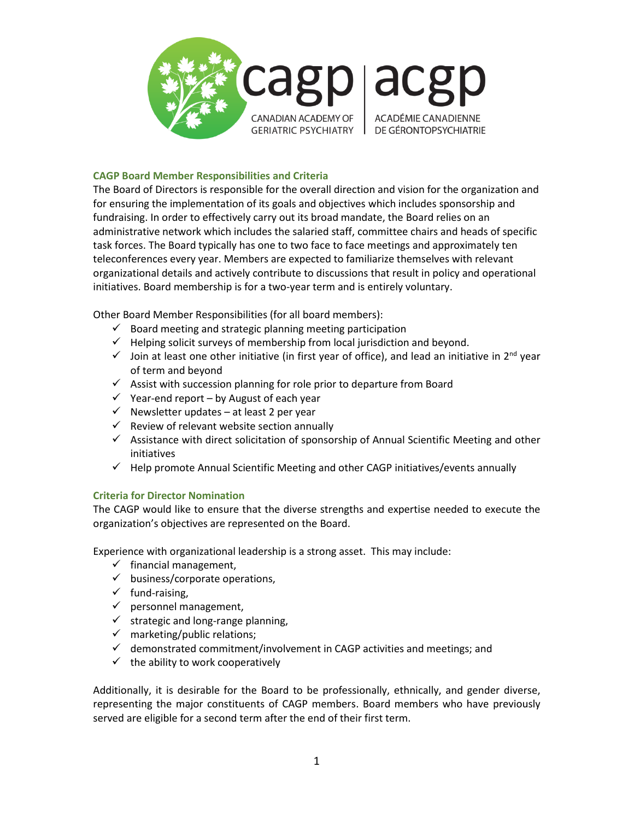

## **CAGP Board Member Responsibilities and Criteria**

The Board of Directors is responsible for the overall direction and vision for the organization and for ensuring the implementation of its goals and objectives which includes sponsorship and fundraising. In order to effectively carry out its broad mandate, the Board relies on an administrative network which includes the salaried staff, committee chairs and heads of specific task forces. The Board typically has one to two face to face meetings and approximately ten teleconferences every year. Members are expected to familiarize themselves with relevant organizational details and actively contribute to discussions that result in policy and operational initiatives. Board membership is for a two-year term and is entirely voluntary.

Other Board Member Responsibilities (for all board members):

- $\checkmark$  Board meeting and strategic planning meeting participation
- $\checkmark$  Helping solicit surveys of membership from local jurisdiction and beyond.
- $\checkmark$  Join at least one other initiative (in first year of office), and lead an initiative in 2<sup>nd</sup> year of term and beyond
- $\checkmark$  Assist with succession planning for role prior to departure from Board
- $\checkmark$  Year-end report by August of each year
- $\checkmark$  Newsletter updates at least 2 per year
- $\checkmark$  Review of relevant website section annually
- $\checkmark$  Assistance with direct solicitation of sponsorship of Annual Scientific Meeting and other initiatives
- $\checkmark$  Help promote Annual Scientific Meeting and other CAGP initiatives/events annually

## **Criteria for Director Nomination**

The CAGP would like to ensure that the diverse strengths and expertise needed to execute the organization's objectives are represented on the Board.

Experience with organizational leadership is a strong asset. This may include:

- $\checkmark$  financial management,
- $\checkmark$  business/corporate operations,
- $\checkmark$  fund-raising,
- $\checkmark$  personnel management,
- $\checkmark$  strategic and long-range planning,
- $\checkmark$  marketing/public relations;
- $\checkmark$  demonstrated commitment/involvement in CAGP activities and meetings; and
- $\checkmark$  the ability to work cooperatively

Additionally, it is desirable for the Board to be professionally, ethnically, and gender diverse, representing the major constituents of CAGP members. Board members who have previously served are eligible for a second term after the end of their first term.